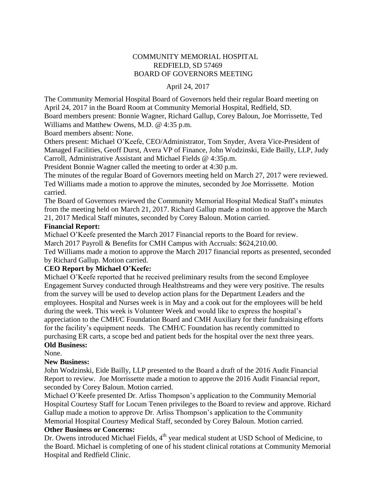# COMMUNITY MEMORIAL HOSPITAL REDFIELD, SD 57469 BOARD OF GOVERNORS MEETING

### April 24, 2017

The Community Memorial Hospital Board of Governors held their regular Board meeting on April 24, 2017 in the Board Room at Community Memorial Hospital, Redfield, SD. Board members present: Bonnie Wagner, Richard Gallup, Corey Baloun, Joe Morrissette, Ted

Williams and Matthew Owens, M.D. @ 4:35 p.m.

Board members absent: None.

Others present: Michael O'Keefe, CEO/Administrator, Tom Snyder, Avera Vice-President of Managed Facilities, Geoff Durst, Avera VP of Finance, John Wodzinski, Eide Bailly, LLP, Judy Carroll, Administrative Assistant and Michael Fields @ 4:35p.m.

President Bonnie Wagner called the meeting to order at 4:30 p.m.

The minutes of the regular Board of Governors meeting held on March 27, 2017 were reviewed. Ted Williams made a motion to approve the minutes, seconded by Joe Morrissette. Motion carried.

The Board of Governors reviewed the Community Memorial Hospital Medical Staff's minutes from the meeting held on March 21, 2017. Richard Gallup made a motion to approve the March 21, 2017 Medical Staff minutes, seconded by Corey Baloun. Motion carried.

### **Financial Report:**

Michael O'Keefe presented the March 2017 Financial reports to the Board for review.

March 2017 Payroll & Benefits for CMH Campus with Accruals: \$624,210.00.

Ted Williams made a motion to approve the March 2017 financial reports as presented, seconded by Richard Gallup. Motion carried.

# **CEO Report by Michael O'Keefe:**

Michael O'Keefe reported that he received preliminary results from the second Employee Engagement Survey conducted through Healthstreams and they were very positive. The results from the survey will be used to develop action plans for the Department Leaders and the employees. Hospital and Nurses week is in May and a cook out for the employees will be held during the week. This week is Volunteer Week and would like to express the hospital's appreciation to the CMH/C Foundation Board and CMH Auxiliary for their fundraising efforts for the facility's equipment needs. The CMH/C Foundation has recently committed to purchasing ER carts, a scope bed and patient beds for the hospital over the next three years. **Old Business:**

#### None.

# **New Business:**

John Wodzinski, Eide Bailly, LLP presented to the Board a draft of the 2016 Audit Financial Report to review. Joe Morrissette made a motion to approve the 2016 Audit Financial report, seconded by Corey Baloun. Motion carried.

Michael O'Keefe presented Dr. Arliss Thompson's application to the Community Memorial Hospital Courtesy Staff for Locum Tenen privileges to the Board to review and approve. Richard Gallup made a motion to approve Dr. Arliss Thompson's application to the Community Memorial Hospital Courtesy Medical Staff, seconded by Corey Baloun. Motion carried.

# **Other Business or Concerns:**

Dr. Owens introduced Michael Fields, 4<sup>th</sup> year medical student at USD School of Medicine, to the Board. Michael is completing of one of his student clinical rotations at Community Memorial Hospital and Redfield Clinic.